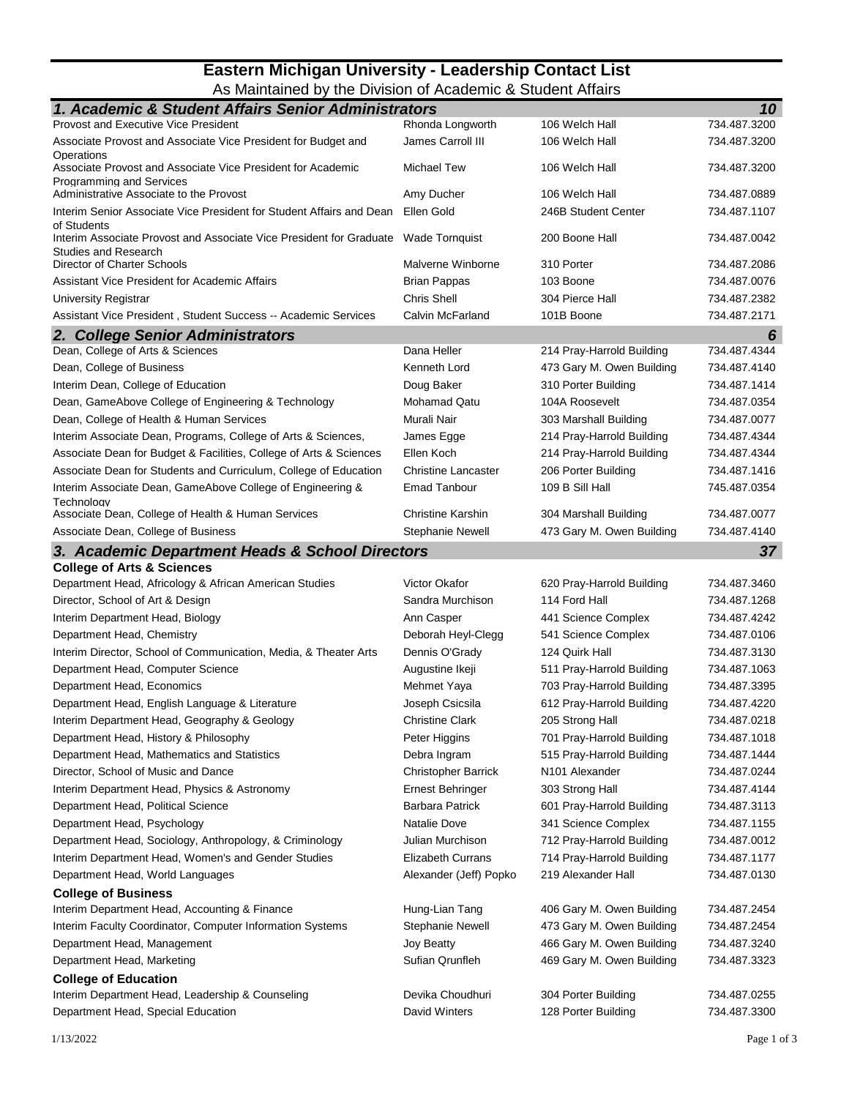## **Eastern Michigan University - Leadership Contact List** As Maintained by the Division of Academic & Student Affairs

| 1. Academic & Student Affairs Senior Administrators                                                               |                            |                           | 10           |
|-------------------------------------------------------------------------------------------------------------------|----------------------------|---------------------------|--------------|
| <b>Provost and Executive Vice President</b>                                                                       | Rhonda Longworth           | 106 Welch Hall            | 734.487.3200 |
| Associate Provost and Associate Vice President for Budget and                                                     | James Carroll III          | 106 Welch Hall            | 734.487.3200 |
| Operations<br>Associate Provost and Associate Vice President for Academic                                         | Michael Tew                | 106 Welch Hall            | 734.487.3200 |
| Programming and Services                                                                                          |                            |                           |              |
| Administrative Associate to the Provost                                                                           | Amy Ducher                 | 106 Welch Hall            | 734.487.0889 |
| Interim Senior Associate Vice President for Student Affairs and Dean Ellen Gold<br>of Students                    |                            | 246B Student Center       | 734.487.1107 |
| Interim Associate Provost and Associate Vice President for Graduate Wade Tornquist<br><b>Studies and Research</b> |                            | 200 Boone Hall            | 734.487.0042 |
| Director of Charter Schools                                                                                       | Malverne Winborne          | 310 Porter                | 734.487.2086 |
| <b>Assistant Vice President for Academic Affairs</b>                                                              | <b>Brian Pappas</b>        | 103 Boone                 | 734.487.0076 |
| University Registrar                                                                                              | <b>Chris Shell</b>         | 304 Pierce Hall           | 734.487.2382 |
| Assistant Vice President, Student Success -- Academic Services                                                    | Calvin McFarland           | 101B Boone                | 734.487.2171 |
| 2. College Senior Administrators                                                                                  |                            |                           | 6            |
| Dean, College of Arts & Sciences                                                                                  | Dana Heller                | 214 Pray-Harrold Building | 734.487.4344 |
| Dean, College of Business                                                                                         | Kenneth Lord               | 473 Gary M. Owen Building | 734.487.4140 |
| Interim Dean, College of Education                                                                                | Doug Baker                 | 310 Porter Building       | 734.487.1414 |
| Dean, GameAbove College of Engineering & Technology                                                               | <b>Mohamad Qatu</b>        | 104A Roosevelt            | 734.487.0354 |
| Dean, College of Health & Human Services                                                                          | Murali Nair                | 303 Marshall Building     | 734.487.0077 |
| Interim Associate Dean, Programs, College of Arts & Sciences,                                                     | James Egge                 | 214 Pray-Harrold Building | 734.487.4344 |
| Associate Dean for Budget & Facilities, College of Arts & Sciences                                                | Ellen Koch                 | 214 Pray-Harrold Building | 734.487.4344 |
| Associate Dean for Students and Curriculum, College of Education                                                  | <b>Christine Lancaster</b> | 206 Porter Building       | 734.487.1416 |
| Interim Associate Dean, GameAbove College of Engineering &                                                        | <b>Emad Tanbour</b>        | 109 B Sill Hall           | 745.487.0354 |
| Technology                                                                                                        |                            |                           |              |
| Associate Dean, College of Health & Human Services                                                                | <b>Christine Karshin</b>   | 304 Marshall Building     | 734.487.0077 |
| Associate Dean, College of Business                                                                               | Stephanie Newell           | 473 Gary M. Owen Building | 734.487.4140 |
| 3. Academic Department Heads & School Directors                                                                   |                            |                           | 37           |
| <b>College of Arts &amp; Sciences</b>                                                                             |                            |                           |              |
| Department Head, Africology & African American Studies                                                            | Victor Okafor              | 620 Pray-Harrold Building | 734.487.3460 |
| Director, School of Art & Design                                                                                  | Sandra Murchison           | 114 Ford Hall             | 734.487.1268 |
| Interim Department Head, Biology                                                                                  | Ann Casper                 | 441 Science Complex       | 734.487.4242 |
| Department Head, Chemistry                                                                                        | Deborah Heyl-Clegg         | 541 Science Complex       | 734.487.0106 |
| Interim Director, School of Communication, Media, & Theater Arts                                                  | Dennis O'Grady             | 124 Quirk Hall            | 734.487.3130 |
| Department Head, Computer Science                                                                                 | Augustine Ikeji            | 511 Pray-Harrold Building | 734.487.1063 |
| Department Head, Economics                                                                                        | Mehmet Yaya                | 703 Pray-Harrold Building | 734.487.3395 |
| Department Head, English Language & Literature                                                                    | Joseph Csicsila            | 612 Pray-Harrold Building | 734.487.4220 |
| Interim Department Head, Geography & Geology                                                                      | <b>Christine Clark</b>     | 205 Strong Hall           | 734.487.0218 |
| Department Head, History & Philosophy                                                                             | Peter Higgins              | 701 Pray-Harrold Building | 734.487.1018 |
| Department Head, Mathematics and Statistics                                                                       | Debra Ingram               | 515 Pray-Harrold Building | 734.487.1444 |
| Director, School of Music and Dance                                                                               | <b>Christopher Barrick</b> | N101 Alexander            | 734.487.0244 |
| Interim Department Head, Physics & Astronomy                                                                      | <b>Ernest Behringer</b>    | 303 Strong Hall           | 734.487.4144 |
| Department Head, Political Science                                                                                | <b>Barbara Patrick</b>     | 601 Pray-Harrold Building | 734.487.3113 |
| Department Head, Psychology                                                                                       | Natalie Dove               | 341 Science Complex       | 734.487.1155 |
| Department Head, Sociology, Anthropology, & Criminology                                                           | Julian Murchison           | 712 Pray-Harrold Building | 734.487.0012 |
| Interim Department Head, Women's and Gender Studies                                                               | <b>Elizabeth Currans</b>   | 714 Pray-Harrold Building | 734.487.1177 |
| Department Head, World Languages                                                                                  | Alexander (Jeff) Popko     | 219 Alexander Hall        | 734.487.0130 |
| <b>College of Business</b>                                                                                        |                            |                           |              |
| Interim Department Head, Accounting & Finance                                                                     | Hung-Lian Tang             | 406 Gary M. Owen Building | 734.487.2454 |
| Interim Faculty Coordinator, Computer Information Systems                                                         | Stephanie Newell           | 473 Gary M. Owen Building | 734.487.2454 |
| Department Head, Management                                                                                       | Joy Beatty                 | 466 Gary M. Owen Building | 734.487.3240 |
| Department Head, Marketing                                                                                        | Sufian Qrunfleh            | 469 Gary M. Owen Building | 734.487.3323 |
| <b>College of Education</b>                                                                                       |                            |                           |              |
| Interim Department Head, Leadership & Counseling                                                                  | Devika Choudhuri           | 304 Porter Building       | 734.487.0255 |
| Department Head, Special Education                                                                                | David Winters              | 128 Porter Building       | 734.487.3300 |
|                                                                                                                   |                            |                           |              |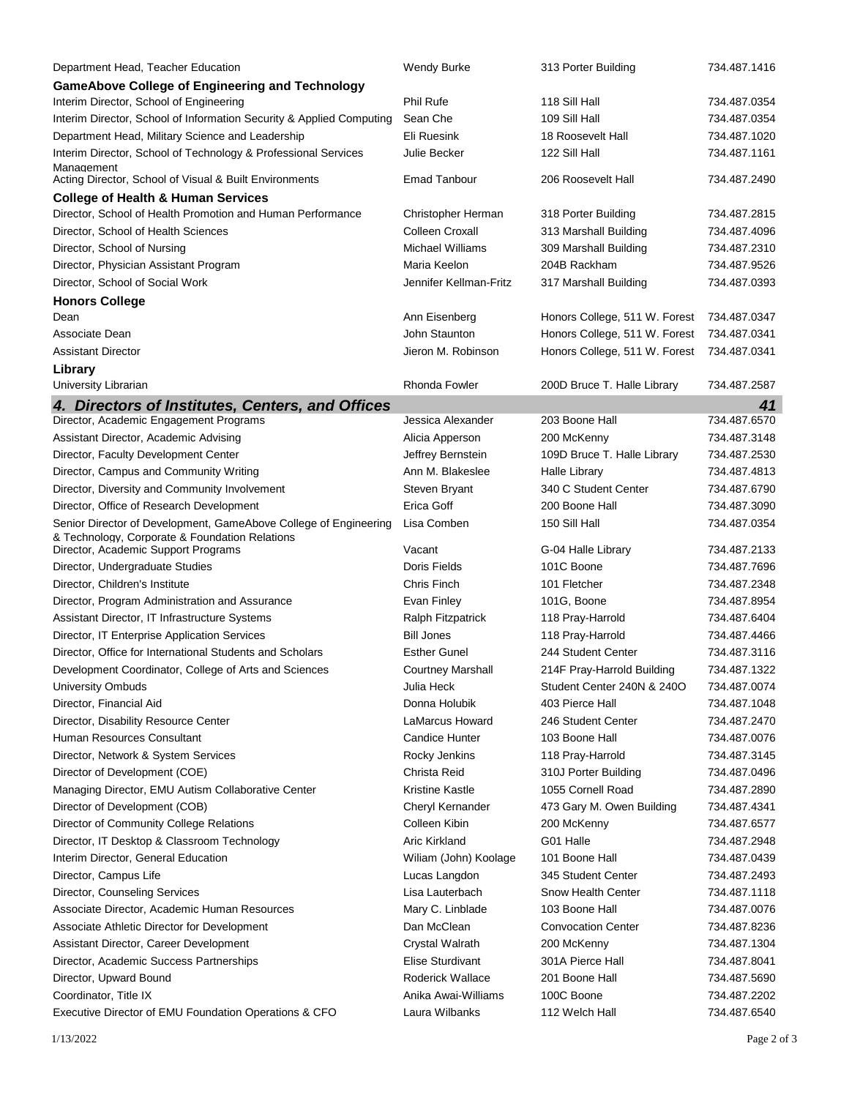| Department Head, Teacher Education                                                    | Wendy Burke              | 313 Porter Building           | 734.487.1416                 |
|---------------------------------------------------------------------------------------|--------------------------|-------------------------------|------------------------------|
| <b>GameAbove College of Engineering and Technology</b>                                |                          |                               |                              |
| Interim Director, School of Engineering                                               | Phil Rufe                | 118 Sill Hall                 | 734.487.0354                 |
| Interim Director, School of Information Security & Applied Computing                  | Sean Che                 | 109 Sill Hall                 | 734.487.0354                 |
| Department Head, Military Science and Leadership                                      | <b>Eli Ruesink</b>       | 18 Roosevelt Hall             | 734.487.1020                 |
| Interim Director, School of Technology & Professional Services                        | Julie Becker             | 122 Sill Hall                 | 734.487.1161                 |
| Management<br>Acting Director, School of Visual & Built Environments                  | <b>Emad Tanbour</b>      | 206 Roosevelt Hall            | 734.487.2490                 |
| <b>College of Health &amp; Human Services</b>                                         |                          |                               |                              |
| Director, School of Health Promotion and Human Performance                            | Christopher Herman       | 318 Porter Building           | 734.487.2815                 |
| Director, School of Health Sciences                                                   | Colleen Croxall          | 313 Marshall Building         | 734.487.4096                 |
| Director, School of Nursing                                                           | <b>Michael Williams</b>  | 309 Marshall Building         | 734.487.2310                 |
| Director, Physician Assistant Program                                                 | Maria Keelon             | 204B Rackham                  | 734.487.9526                 |
| Director, School of Social Work                                                       | Jennifer Kellman-Fritz   | 317 Marshall Building         | 734.487.0393                 |
| <b>Honors College</b>                                                                 |                          |                               |                              |
| Dean                                                                                  | Ann Eisenberg            | Honors College, 511 W. Forest | 734.487.0347                 |
| Associate Dean                                                                        | John Staunton            | Honors College, 511 W. Forest | 734.487.0341                 |
| Assistant Director                                                                    | Jieron M. Robinson       | Honors College, 511 W. Forest | 734.487.0341                 |
| Library                                                                               |                          |                               |                              |
| University Librarian                                                                  | Rhonda Fowler            | 200D Bruce T. Halle Library   | 734.487.2587                 |
| 4. Directors of Institutes, Centers, and Offices                                      |                          |                               | 41                           |
| Director, Academic Engagement Programs                                                | Jessica Alexander        | 203 Boone Hall                | 734.487.6570                 |
| Assistant Director, Academic Advising                                                 | Alicia Apperson          | 200 McKenny                   | 734.487.3148                 |
| Director, Faculty Development Center                                                  | Jeffrey Bernstein        | 109D Bruce T. Halle Library   | 734.487.2530                 |
| Director, Campus and Community Writing                                                | Ann M. Blakeslee         | Halle Library                 | 734.487.4813                 |
| Director, Diversity and Community Involvement                                         | Steven Bryant            | 340 C Student Center          | 734.487.6790                 |
| Director, Office of Research Development                                              | Erica Goff               | 200 Boone Hall                | 734.487.3090                 |
| Senior Director of Development, GameAbove College of Engineering                      | Lisa Comben              | 150 Sill Hall                 | 734.487.0354                 |
| & Technology, Corporate & Foundation Relations<br>Director, Academic Support Programs | Vacant                   | G-04 Halle Library            | 734.487.2133                 |
| Director, Undergraduate Studies                                                       | Doris Fields             | 101C Boone                    | 734.487.7696                 |
| Director, Children's Institute                                                        | <b>Chris Finch</b>       | 101 Fletcher                  | 734.487.2348                 |
| Director, Program Administration and Assurance                                        | Evan Finley              | 101G, Boone                   | 734.487.8954                 |
| Assistant Director, IT Infrastructure Systems                                         | Ralph Fitzpatrick        | 118 Pray-Harrold              | 734.487.6404                 |
| Director, IT Enterprise Application Services                                          | <b>Bill Jones</b>        | 118 Pray-Harrold              | 734.487.4466                 |
| Director, Office for International Students and Scholars                              | <b>Esther Gunel</b>      | 244 Student Center            | 734.487.3116                 |
| Development Coordinator, College of Arts and Sciences                                 | <b>Courtney Marshall</b> | 214F Pray-Harrold Building    | 734.487.1322                 |
| <b>University Ombuds</b>                                                              | Julia Heck               | Student Center 240N & 240O    | 734.487.0074                 |
| Director, Financial Aid                                                               | Donna Holubik            | 403 Pierce Hall               | 734.487.1048                 |
| Director, Disability Resource Center                                                  | LaMarcus Howard          | 246 Student Center            | 734.487.2470                 |
| Human Resources Consultant                                                            | <b>Candice Hunter</b>    | 103 Boone Hall                | 734.487.0076                 |
| Director, Network & System Services                                                   | Rocky Jenkins            | 118 Pray-Harrold              | 734.487.3145                 |
| Director of Development (COE)                                                         | Christa Reid             | 310J Porter Building          | 734.487.0496                 |
| Managing Director, EMU Autism Collaborative Center                                    | Kristine Kastle          | 1055 Cornell Road             | 734.487.2890                 |
| Director of Development (COB)                                                         | Cheryl Kernander         | 473 Gary M. Owen Building     | 734.487.4341                 |
| Director of Community College Relations                                               | Colleen Kibin            | 200 McKenny                   | 734.487.6577                 |
| Director, IT Desktop & Classroom Technology                                           | Aric Kirkland            | G01 Halle                     | 734.487.2948                 |
| Interim Director, General Education                                                   | Wiliam (John) Koolage    | 101 Boone Hall                | 734.487.0439                 |
| Director, Campus Life                                                                 | Lucas Langdon            | 345 Student Center            | 734.487.2493                 |
| Director, Counseling Services                                                         | Lisa Lauterbach          | Snow Health Center            | 734.487.1118                 |
| Associate Director, Academic Human Resources                                          | Mary C. Linblade         | 103 Boone Hall                | 734.487.0076                 |
| Associate Athletic Director for Development                                           | Dan McClean              | <b>Convocation Center</b>     | 734.487.8236                 |
| Assistant Director, Career Development                                                | <b>Crystal Walrath</b>   | 200 McKenny                   | 734.487.1304                 |
|                                                                                       | Elise Sturdivant         | 301A Pierce Hall              |                              |
| Director, Academic Success Partnerships                                               | Roderick Wallace         | 201 Boone Hall                | 734.487.8041<br>734.487.5690 |
| Director, Upward Bound<br>Coordinator, Title IX                                       | Anika Awai-Williams      | 100C Boone                    |                              |
|                                                                                       | Laura Wilbanks           | 112 Welch Hall                | 734.487.2202<br>734.487.6540 |
| Executive Director of EMU Foundation Operations & CFO                                 |                          |                               |                              |